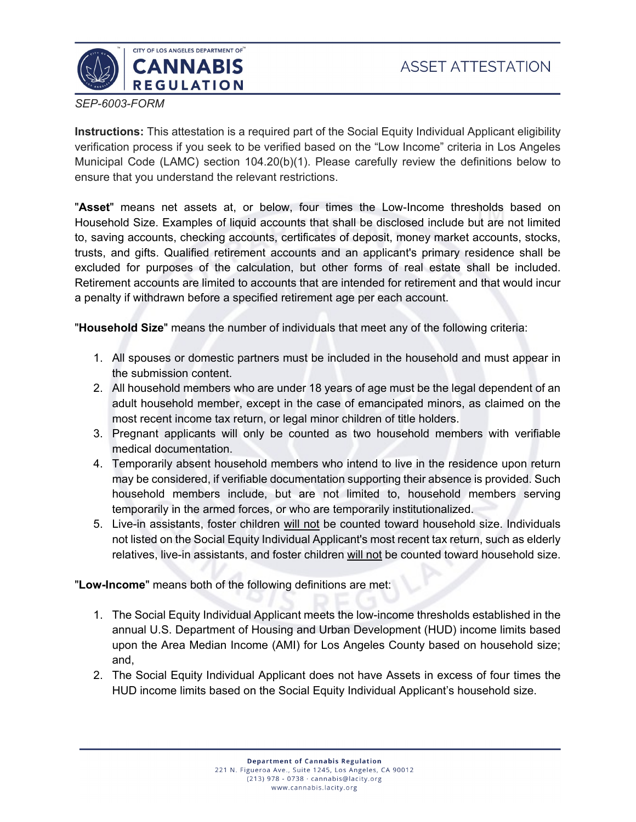

*SEP-6003-FORM*

**Instructions:** This attestation is a required part of the Social Equity Individual Applicant eligibility verification process if you seek to be verified based on the "Low Income" criteria in Los Angeles Municipal Code (LAMC) section 104.20(b)(1). Please carefully review the definitions below to ensure that you understand the relevant restrictions.

"**Asset**" means net assets at, or below, four times the Low-Income thresholds based on Household Size. Examples of liquid accounts that shall be disclosed include but are not limited to, saving accounts, checking accounts, certificates of deposit, money market accounts, stocks, trusts, and gifts. Qualified retirement accounts and an applicant's primary residence shall be excluded for purposes of the calculation, but other forms of real estate shall be included. Retirement accounts are limited to accounts that are intended for retirement and that would incur a penalty if withdrawn before a specified retirement age per each account.

"**Household Size**" means the number of individuals that meet any of the following criteria:

- 1. All spouses or domestic partners must be included in the household and must appear in the submission content.
- 2. All household members who are under 18 years of age must be the legal dependent of an adult household member, except in the case of emancipated minors, as claimed on the most recent income tax return, or legal minor children of title holders.
- 3. Pregnant applicants will only be counted as two household members with verifiable medical documentation.
- 4. Temporarily absent household members who intend to live in the residence upon return may be considered, if verifiable documentation supporting their absence is provided. Such household members include, but are not limited to, household members serving temporarily in the armed forces, or who are temporarily institutionalized.
- 5. Live-in assistants, foster children will not be counted toward household size. Individuals not listed on the Social Equity Individual Applicant's most recent tax return, such as elderly relatives, live-in assistants, and foster children will not be counted toward household size.

"**Low-Income**" means both of the following definitions are met:

- 1. The Social Equity Individual Applicant meets the low-income thresholds established in the annual U.S. Department of Housing and Urban Development (HUD) income limits based upon the Area Median Income (AMI) for Los Angeles County based on household size; and,
- 2. The Social Equity Individual Applicant does not have Assets in excess of four times the HUD income limits based on the Social Equity Individual Applicant's household size.